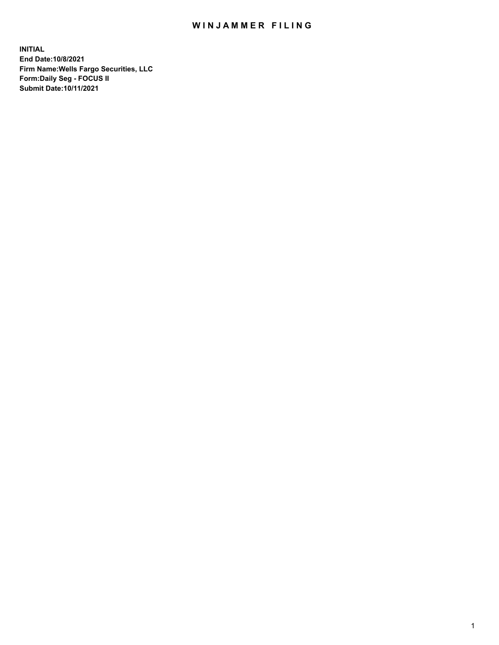## WIN JAMMER FILING

**INITIAL End Date:10/8/2021 Firm Name:Wells Fargo Securities, LLC Form:Daily Seg - FOCUS II Submit Date:10/11/2021**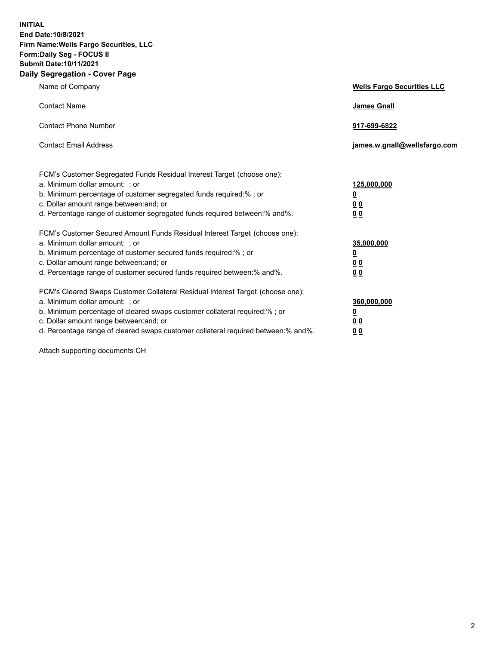**INITIAL End Date:10/8/2021 Firm Name:Wells Fargo Securities, LLC Form:Daily Seg - FOCUS II Submit Date:10/11/2021 Daily Segregation - Cover Page**

| Name of Company                                                                                                                                                                                                                                                                                                                | <b>Wells Fargo Securities LLC</b>                             |
|--------------------------------------------------------------------------------------------------------------------------------------------------------------------------------------------------------------------------------------------------------------------------------------------------------------------------------|---------------------------------------------------------------|
| <b>Contact Name</b>                                                                                                                                                                                                                                                                                                            | <b>James Gnall</b>                                            |
| <b>Contact Phone Number</b>                                                                                                                                                                                                                                                                                                    | 917-699-6822                                                  |
| <b>Contact Email Address</b>                                                                                                                                                                                                                                                                                                   | james.w.gnall@wellsfargo.com                                  |
| FCM's Customer Segregated Funds Residual Interest Target (choose one):<br>a. Minimum dollar amount: ; or<br>b. Minimum percentage of customer segregated funds required:% ; or<br>c. Dollar amount range between: and; or<br>d. Percentage range of customer segregated funds required between:% and%.                         | 125,000,000<br><u>0</u><br>0 <sub>0</sub><br>0 <sub>0</sub>   |
| FCM's Customer Secured Amount Funds Residual Interest Target (choose one):<br>a. Minimum dollar amount: ; or<br>b. Minimum percentage of customer secured funds required:%; or<br>c. Dollar amount range between: and; or<br>d. Percentage range of customer secured funds required between:% and%.                            | 35,000,000<br>$\overline{\mathbf{0}}$<br>00<br>0 <sub>0</sub> |
| FCM's Cleared Swaps Customer Collateral Residual Interest Target (choose one):<br>a. Minimum dollar amount: ; or<br>b. Minimum percentage of cleared swaps customer collateral required:% ; or<br>c. Dollar amount range between: and; or<br>d. Percentage range of cleared swaps customer collateral required between:% and%. | 360,000,000<br><u>0</u><br>00<br>00                           |

Attach supporting documents CH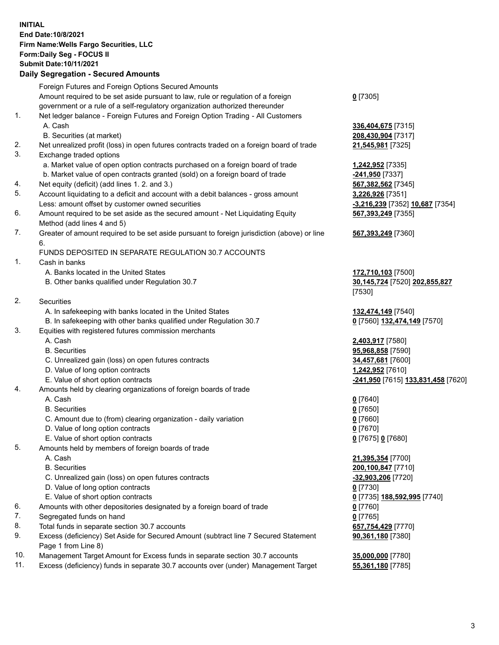**INITIAL End Date:10/8/2021 Firm Name:Wells Fargo Securities, LLC Form:Daily Seg - FOCUS II Submit Date:10/11/2021**

## **Daily Segregation - Secured Amounts**

|           | Foreign Futures and Foreign Options Secured Amounts                                         |                                    |
|-----------|---------------------------------------------------------------------------------------------|------------------------------------|
|           | Amount required to be set aside pursuant to law, rule or regulation of a foreign            | $0$ [7305]                         |
|           | government or a rule of a self-regulatory organization authorized thereunder                |                                    |
| 1.        | Net ledger balance - Foreign Futures and Foreign Option Trading - All Customers             |                                    |
|           | A. Cash                                                                                     | 336,404,675 [7315]                 |
|           | B. Securities (at market)                                                                   | 208,430,904 [7317]                 |
| 2.        | Net unrealized profit (loss) in open futures contracts traded on a foreign board of trade   | 21,545,981 [7325]                  |
| 3.        | Exchange traded options                                                                     |                                    |
|           | a. Market value of open option contracts purchased on a foreign board of trade              | 1,242,952 [7335]                   |
|           | b. Market value of open contracts granted (sold) on a foreign board of trade                | -241,950 [7337]                    |
| 4.        | Net equity (deficit) (add lines 1. 2. and 3.)                                               | 567,382,562 [7345]                 |
| 5.        | Account liquidating to a deficit and account with a debit balances - gross amount           | 3,226,926 [7351]                   |
|           | Less: amount offset by customer owned securities                                            | -3,216,239 [7352] 10,687 [7354]    |
| 6.        | Amount required to be set aside as the secured amount - Net Liquidating Equity              | 567,393,249 [7355]                 |
|           | Method (add lines 4 and 5)                                                                  |                                    |
| 7.        | Greater of amount required to be set aside pursuant to foreign jurisdiction (above) or line | 567,393,249 [7360]                 |
|           | 6.                                                                                          |                                    |
|           | FUNDS DEPOSITED IN SEPARATE REGULATION 30.7 ACCOUNTS                                        |                                    |
| 1.        | Cash in banks                                                                               |                                    |
|           | A. Banks located in the United States                                                       | 172,710,103 [7500]                 |
|           | B. Other banks qualified under Regulation 30.7                                              | 30,145,724 [7520] 202,855,827      |
|           |                                                                                             | [7530]                             |
| 2.        | Securities                                                                                  |                                    |
|           | A. In safekeeping with banks located in the United States                                   | 132,474,149 [7540]                 |
|           | B. In safekeeping with other banks qualified under Regulation 30.7                          | 0 [7560] 132,474,149 [7570]        |
| 3.        | Equities with registered futures commission merchants                                       |                                    |
|           | A. Cash                                                                                     | 2,403,917 [7580]                   |
|           | <b>B.</b> Securities                                                                        | 95,968,858 [7590]                  |
|           | C. Unrealized gain (loss) on open futures contracts                                         | 34,457,681 [7600]                  |
|           | D. Value of long option contracts                                                           | 1,242,952 [7610]                   |
|           | E. Value of short option contracts                                                          | -241,950 [7615] 133,831,458 [7620] |
| 4.        | Amounts held by clearing organizations of foreign boards of trade                           |                                    |
|           | A. Cash                                                                                     | $0$ [7640]                         |
|           | <b>B.</b> Securities                                                                        | $0$ [7650]                         |
|           | C. Amount due to (from) clearing organization - daily variation                             | $0$ [7660]                         |
|           | D. Value of long option contracts                                                           | $0$ [7670]                         |
|           | E. Value of short option contracts                                                          | 0 [7675] 0 [7680]                  |
| 5.        | Amounts held by members of foreign boards of trade                                          |                                    |
|           | A. Cash                                                                                     | 21,395,354 [7700]                  |
|           | <b>B.</b> Securities                                                                        | 200,100,847 [7710]                 |
|           | C. Unrealized gain (loss) on open futures contracts                                         | -32,903,206 [7720]                 |
|           | D. Value of long option contracts                                                           | $0$ [7730]                         |
|           | E. Value of short option contracts                                                          | 0 [7735] 188,592,995 [7740]        |
| 6.        | Amounts with other depositories designated by a foreign board of trade                      | 0 [7760]                           |
| 7.        | Segregated funds on hand                                                                    | $0$ [7765]                         |
| 8.        | Total funds in separate section 30.7 accounts                                               | 657,754,429 [7770]                 |
| 9.        | Excess (deficiency) Set Aside for Secured Amount (subtract line 7 Secured Statement         | 90,361,180 [7380]                  |
|           | Page 1 from Line 8)                                                                         |                                    |
| $10^{-1}$ | compact Terret Amount for Excess funds in concrete section 20.7 secounts                    | <b>25 000 000 177001</b>           |

- 10. Management Target Amount for Excess funds in separate section 30.7 accounts **35,000,000** [7780]
- 11. Excess (deficiency) funds in separate 30.7 accounts over (under) Management Target **55,361,180** [7785]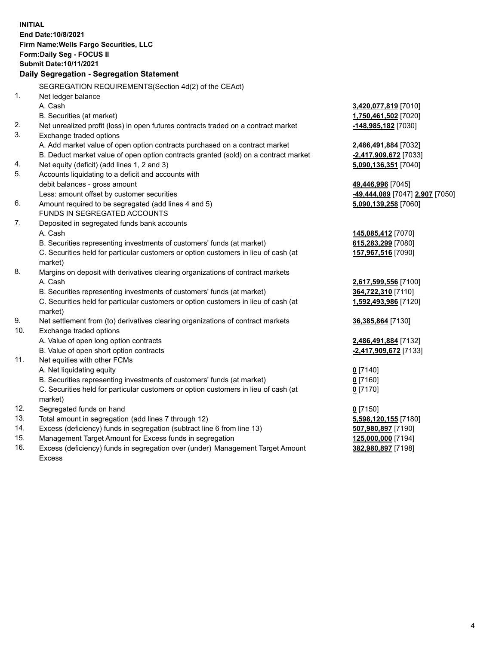**INITIAL End Date:10/8/2021 Firm Name:Wells Fargo Securities, LLC Form:Daily Seg - FOCUS II Submit Date:10/11/2021 Daily Segregation - Segregation Statement** SEGREGATION REQUIREMENTS(Section 4d(2) of the CEAct) 1. Net ledger balance A. Cash **3,420,077,819** [7010] B. Securities (at market) **1,750,461,502** [7020] 2. Net unrealized profit (loss) in open futures contracts traded on a contract market **-148,985,182** [7030] 3. Exchange traded options A. Add market value of open option contracts purchased on a contract market **2,486,491,884** [7032] B. Deduct market value of open option contracts granted (sold) on a contract market **-2,417,909,672** [7033] 4. Net equity (deficit) (add lines 1, 2 and 3) **5,090,136,351** [7040] 5. Accounts liquidating to a deficit and accounts with debit balances - gross amount **49,446,996** [7045] Less: amount offset by customer securities **-49,444,089** [7047] **2,907** [7050] 6. Amount required to be segregated (add lines 4 and 5) **5,090,139,258** [7060] FUNDS IN SEGREGATED ACCOUNTS 7. Deposited in segregated funds bank accounts A. Cash **145,085,412** [7070] B. Securities representing investments of customers' funds (at market) **615,283,299** [7080] C. Securities held for particular customers or option customers in lieu of cash (at market) **157,967,516** [7090] 8. Margins on deposit with derivatives clearing organizations of contract markets A. Cash **2,617,599,556** [7100] B. Securities representing investments of customers' funds (at market) **364,722,310** [7110] C. Securities held for particular customers or option customers in lieu of cash (at market) **1,592,493,986** [7120] 9. Net settlement from (to) derivatives clearing organizations of contract markets **36,385,864** [7130]

10. Exchange traded options

- A. Value of open long option contracts **2,486,491,884** [7132]
- B. Value of open short option contracts **-2,417,909,672** [7133]
- 11. Net equities with other FCMs

A. Net liquidating equity **0** [7140]

B. Securities representing investments of customers' funds (at market) **0** [7160]

C. Securities held for particular customers or option customers in lieu of cash (at market)

- 12. Segregated funds on hand **0** [7150]
- 13. Total amount in segregation (add lines 7 through 12) **5,598,120,155** [7180]
- 14. Excess (deficiency) funds in segregation (subtract line 6 from line 13) **507,980,897** [7190]
- 15. Management Target Amount for Excess funds in segregation **125,000,000** [7194]
- 16. Excess (deficiency) funds in segregation over (under) Management Target Amount Excess

**0** [7170]

**382,980,897** [7198]